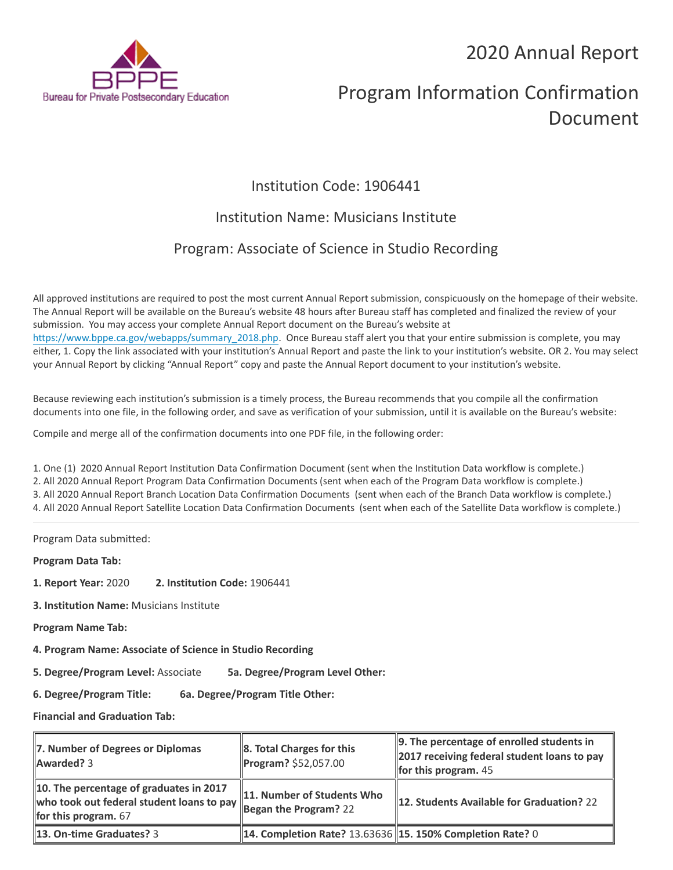## 2020 Annual Report



# Program Information Confirmation Document

## Institution Code: 1906441

### Institution Name: Musicians Institute

## Program: Associate of Science in Studio Recording

All approved institutions are required to post the most current Annual Report submission, conspicuously on the homepage of their website. The Annual Report will be available on the Bureau's website 48 hours after Bureau staff has completed and finalized the review of your submission. You may access your complete Annual Report document on the Bureau's website at [https://www.bppe.ca.gov/webapps/summary\\_2018.php.](https://www.bppe.ca.gov/webapps/summary_2018.php) Once Bureau staff alert you that your entire submission is complete, you may either, 1. Copy the link associated with your institution's Annual Report and paste the link to your institution's website. OR 2. You may select your Annual Report by clicking "Annual Report" copy and paste the Annual Report document to your institution's website.

Because reviewing each institution's submission is a timely process, the Bureau recommends that you compile all the confirmation documents into one file, in the following order, and save as verification of your submission, until it is available on the Bureau's website:

Compile and merge all of the confirmation documents into one PDF file, in the following order:

1. One (1) 2020 Annual Report Institution Data Confirmation Document (sent when the Institution Data workflow is complete.) 2. All 2020 Annual Report Program Data Confirmation Documents (sent when each of the Program Data workflow is complete.) 3. All 2020 Annual Report Branch Location Data Confirmation Documents (sent when each of the Branch Data workflow is complete.) 4. All 2020 Annual Report Satellite Location Data Confirmation Documents (sent when each of the Satellite Data workflow is complete.)

Program Data submitted:

**Program Data Tab:**

- **1. Report Year:** 2020 **2. Institution Code:** 1906441
- **3. Institution Name:** Musicians Institute
- **Program Name Tab:**
- **4. Program Name: Associate of Science in Studio Recording**

**5. Degree/Program Level:** Associate **5a. Degree/Program Level Other:**

**6. Degree/Program Title: 6a. Degree/Program Title Other:**

**Financial and Graduation Tab:**

| 7. Number of Degrees or Diplomas<br>Awarded? 3                                                                 | $\ 8.$ Total Charges for this<br>Program? \$52,057.00             | 9. The percentage of enrolled students in<br>2017 receiving federal student loans to pay<br>for this program. $45$ |
|----------------------------------------------------------------------------------------------------------------|-------------------------------------------------------------------|--------------------------------------------------------------------------------------------------------------------|
| 10. The percentage of graduates in 2017<br>who took out federal student loans to pay<br>for this program. $67$ | 11. Number of Students Who<br>$\frac{1}{2}$ Began the Program? 22 | 12. Students Available for Graduation? 22                                                                          |
| <b>13. On-time Graduates? 3</b>                                                                                | <b>14. Completion Rate? 13.63636 15. 150% Completion Rate? 0</b>  |                                                                                                                    |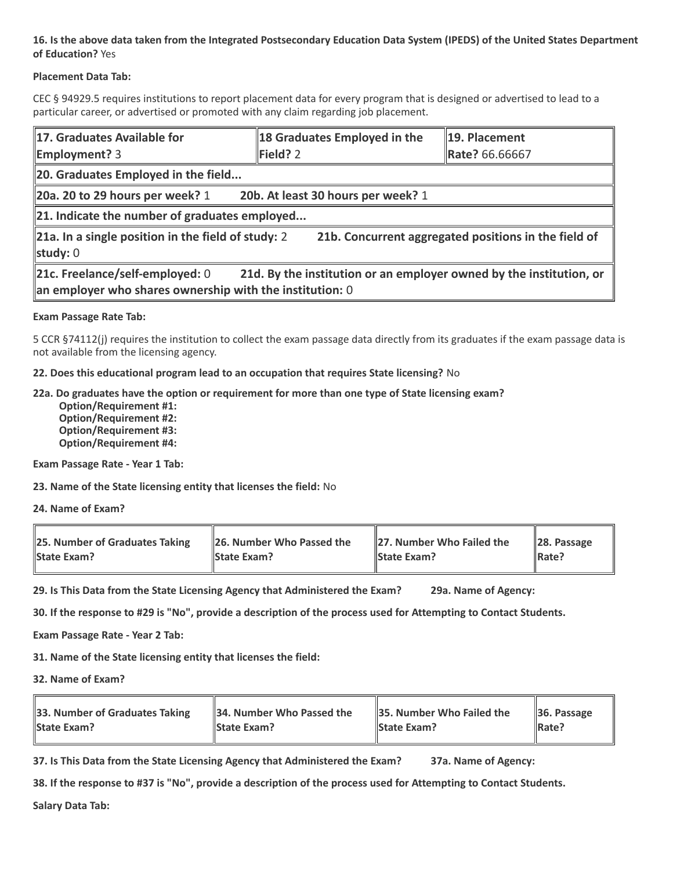#### **16. Is the above data taken from the Integrated Postsecondary Education Data System (IPEDS) of the United States Department of Education?** Yes

#### **Placement Data Tab:**

CEC § 94929.5 requires institutions to report placement data for every program that is designed or advertised to lead to a particular career, or advertised or promoted with any claim regarding job placement.

| 17. Graduates Available for<br><b>Employment?</b> 3                                                                                                                  | 18 Graduates Employed in the<br>Field? 2 | 19. Placement<br>Rate? 66.66667 |  |  |
|----------------------------------------------------------------------------------------------------------------------------------------------------------------------|------------------------------------------|---------------------------------|--|--|
| 20. Graduates Employed in the field                                                                                                                                  |                                          |                                 |  |  |
| 20a. 20 to 29 hours per week? $1$                                                                                                                                    | 20b. At least 30 hours per week? 1       |                                 |  |  |
| $\ $ 21. Indicate the number of graduates employed                                                                                                                   |                                          |                                 |  |  |
| $\ $ 21a. In a single position in the field of study: 2<br>21b. Concurrent aggregated positions in the field of<br>study: $0$                                        |                                          |                                 |  |  |
| 21c. Freelance/self-employed: 0<br>21d. By the institution or an employer owned by the institution, or<br>an employer who shares ownership with the institution: $0$ |                                          |                                 |  |  |

#### **Exam Passage Rate Tab:**

5 CCR §74112(j) requires the institution to collect the exam passage data directly from its graduates if the exam passage data is not available from the licensing agency.

**22. Does this educational program lead to an occupation that requires State licensing?** No

#### **22a. Do graduates have the option or requirement for more than one type of State licensing exam?**

 **Option/Requirement #1: Option/Requirement #2: Option/Requirement #3: Option/Requirement #4:**

**Exam Passage Rate - Year 1 Tab:**

**23. Name of the State licensing entity that licenses the field:** No

**24. Name of Exam?**

| 25. Number of Graduates Taking | 26. Number Who Passed the | 27. Number Who Failed the | $\ $ 28. Passage |
|--------------------------------|---------------------------|---------------------------|------------------|
| <b>State Exam?</b>             | <b>State Exam?</b>        | <b>State Exam?</b>        | Rate?            |

**29. Is This Data from the State Licensing Agency that Administered the Exam? 29a. Name of Agency:**

**30. If the response to #29 is "No", provide a description of the process used for Attempting to Contact Students.**

**Exam Passage Rate - Year 2 Tab:**

**31. Name of the State licensing entity that licenses the field:**

**32. Name of Exam?**

| 33. Number of Graduates Taking | 34. Number Who Passed the | <b>35. Number Who Failed the</b> | $\parallel$ 36. Passage |
|--------------------------------|---------------------------|----------------------------------|-------------------------|
| <b>State Exam?</b>             | <b>State Exam?</b>        | <b>State Exam?</b>               | $\parallel$ Rate?       |

**37. Is This Data from the State Licensing Agency that Administered the Exam? 37a. Name of Agency:**

**38. If the response to #37 is "No", provide a description of the process used for Attempting to Contact Students.** 

**Salary Data Tab:**